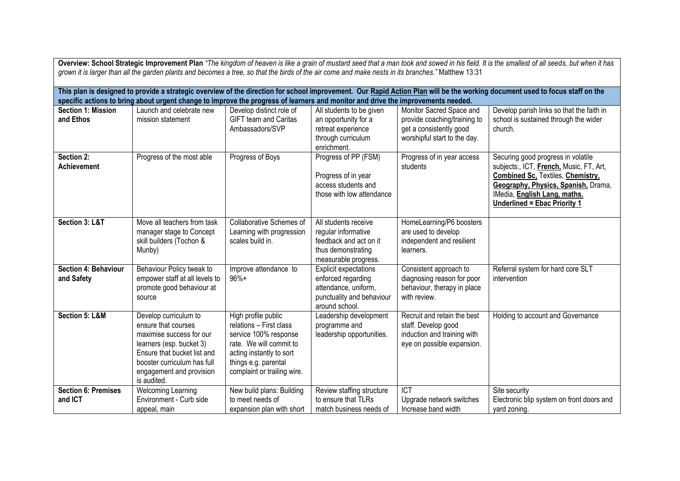| Overview: School Strategic Improvement Plan "The kingdom of heaven is like a grain of mustard seed that a man took and sowed in his field. It is the smallest of all seeds, but when it has                                                                                                                      |                                                                                                                                                                                                               |                                                                                                                                                                                       |                                                                                                                           |                                                                                                                     |                                                                                                                                                                                                                                         |  |  |  |  |
|------------------------------------------------------------------------------------------------------------------------------------------------------------------------------------------------------------------------------------------------------------------------------------------------------------------|---------------------------------------------------------------------------------------------------------------------------------------------------------------------------------------------------------------|---------------------------------------------------------------------------------------------------------------------------------------------------------------------------------------|---------------------------------------------------------------------------------------------------------------------------|---------------------------------------------------------------------------------------------------------------------|-----------------------------------------------------------------------------------------------------------------------------------------------------------------------------------------------------------------------------------------|--|--|--|--|
| grown it is larger than all the garden plants and becomes a tree, so that the birds of the air come and make nests in its branches." Matthew 13:31                                                                                                                                                               |                                                                                                                                                                                                               |                                                                                                                                                                                       |                                                                                                                           |                                                                                                                     |                                                                                                                                                                                                                                         |  |  |  |  |
| This plan is designed to provide a strategic overview of the direction for school improvement. Our Rapid Action Plan will be the working document used to focus staff on the<br>specific actions to bring about urgent change to improve the progress of learners and monitor and drive the improvements needed. |                                                                                                                                                                                                               |                                                                                                                                                                                       |                                                                                                                           |                                                                                                                     |                                                                                                                                                                                                                                         |  |  |  |  |
| <b>Section 1: Mission</b><br>and Ethos                                                                                                                                                                                                                                                                           | Launch and celebrate new<br>mission statement                                                                                                                                                                 | Develop distinct role of<br><b>GIFT team and Caritas</b><br>Ambassadors/SVP                                                                                                           | All students to be given<br>an opportunity for a<br>retreat experience<br>through curriculum<br>enrichment.               | Monitor Sacred Space and<br>provide coaching/training to<br>get a consistently good<br>worshipful start to the day. | Develop parish links so that the faith in<br>school is sustained through the wider<br>church.                                                                                                                                           |  |  |  |  |
| Section 2:<br><b>Achievement</b>                                                                                                                                                                                                                                                                                 | Progress of the most able                                                                                                                                                                                     | Progress of Boys                                                                                                                                                                      | Progress of PP (FSM)<br>Progress of in year<br>access students and<br>those with low attendance                           | Progress of in year access<br>students                                                                              | Securing good progress in volatile<br>subjects:, ICT, French, Music, FT, Art,<br><b>Combined Sc. Textiles, Chemistry,</b><br>Geography, Physics, Spanish, Drama,<br>IMedia, English Lang, maths.<br><b>Underlined = Ebac Priority 1</b> |  |  |  |  |
| Section 3: L&T                                                                                                                                                                                                                                                                                                   | Move all teachers from task<br>manager stage to Concept<br>skill builders (Tochon &<br>Munby)                                                                                                                 | Collaborative Schemes of<br>Learning with progression<br>scales build in.                                                                                                             | All students receive<br>regular informative<br>feedback and act on it<br>thus demonstrating<br>measurable progress.       | HomeLearning/P6 boosters<br>are used to develop<br>independent and resilient<br>learners.                           |                                                                                                                                                                                                                                         |  |  |  |  |
| Section 4: Behaviour<br>and Safety                                                                                                                                                                                                                                                                               | Behaviour Policy tweak to<br>empower staff at all levels to<br>promote good behaviour at<br>source                                                                                                            | Improve attendance to<br>$96%+$                                                                                                                                                       | <b>Explicit expectations</b><br>enforced regarding<br>attendance, uniform,<br>punctuality and behaviour<br>around school. | Consistent approach to<br>diagnosing reason for poor<br>behaviour, therapy in place<br>with review.                 | Referral system for hard core SLT<br>intervention                                                                                                                                                                                       |  |  |  |  |
| Section 5: L&M                                                                                                                                                                                                                                                                                                   | Develop curriculum to<br>ensure that courses<br>maximise success for our<br>learners (esp. bucket 3)<br>Ensure that bucket list and<br>booster curriculum has full<br>engagement and provision<br>is audited. | High profile public<br>relations - First class<br>service 100% response<br>rate. We will commit to<br>acting instantly to sort<br>things e.g. parental<br>complaint or trailing wire. | Leadership development<br>programme and<br>leadership opportunities.                                                      | Recruit and retain the best<br>staff. Develop good<br>induction and training with<br>eye on possible expansion.     | Holding to account and Governance                                                                                                                                                                                                       |  |  |  |  |
| Section 6: Premises<br>and ICT                                                                                                                                                                                                                                                                                   | <b>Welcoming Learning</b><br>Environment - Curb side<br>appeal, main                                                                                                                                          | New build plans: Building<br>to meet needs of<br>expansion plan with short                                                                                                            | Review staffing structure<br>to ensure that TLRs<br>match business needs of                                               | $\overline{ICT}$<br>Upgrade network switches<br>Increase band width                                                 | Site security<br>Electronic blip system on front doors and<br>yard zoning.                                                                                                                                                              |  |  |  |  |